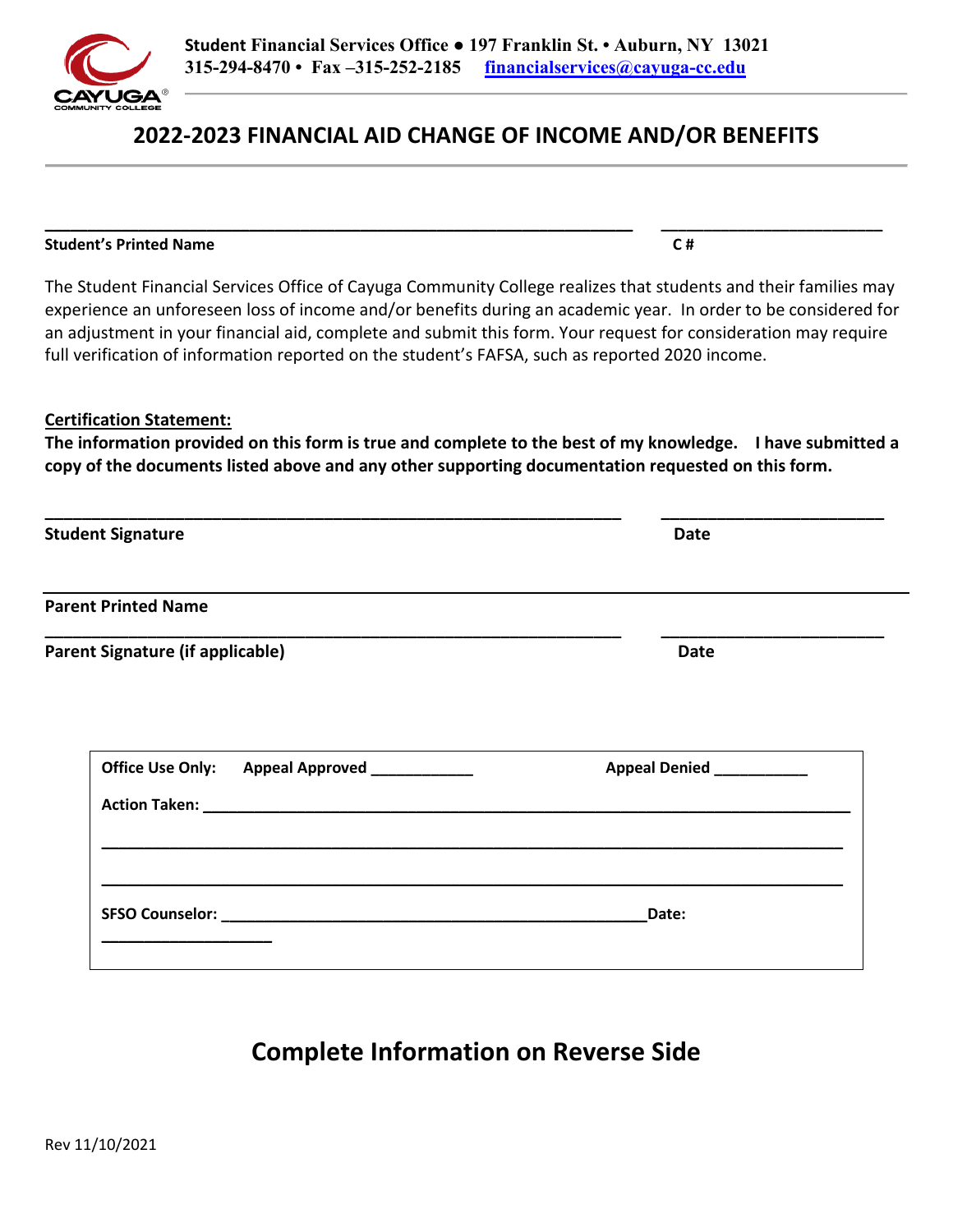#### **Student Financial Services Office ● 197 Franklin St. • Auburn, NY 13021 315-294-8470 • Fax –315-252-2185 [financialservices@cayuga](mailto:financialservices@cayuga-cc.edu)-cc.edu**

# **2022-2023 FINANCIAL AID CHANGE OF INCOME AND/OR BENEFITS**

The Student Financial Services Office of Cayuga Community College realizes that students and their families may experience an unforeseen loss of income and/or benefits during an academic year. In order to be considered for an adjustment in your financial aid, complete and submit this form. Your request for consideration may require full verification of information reported on the student's FAFSA, such as reported 2020 income.

#### **Certification Statement:**

**The information provided on this form is true and complete to the best of my knowledge. I have submitted a copy of the documents listed above and any other supporting documentation requested on this form.** 

**\_\_\_\_\_\_\_\_\_\_\_\_\_\_\_\_\_\_\_\_\_\_\_\_\_\_\_\_\_\_\_\_\_\_\_\_\_\_\_\_\_\_\_\_\_\_\_\_\_\_\_\_\_\_\_\_\_\_\_\_\_\_ \_\_\_\_\_\_\_\_\_\_\_\_\_\_\_\_\_\_\_\_\_\_\_\_** 

| <b>Student Signature</b>                                                                | <b>Date</b>               |
|-----------------------------------------------------------------------------------------|---------------------------|
| <u> 1980 - Johann Barnett, fransk politiker (d. 1980)</u><br><b>Parent Printed Name</b> |                           |
| Parent Signature (if applicable)                                                        | <b>Date</b>               |
| Office Use Only: Appeal Approved ___________                                            | Appeal Denied ___________ |
|                                                                                         | Date:                     |

**Complete Information on Reverse Side** 



**\_\_\_\_\_\_\_\_\_\_\_\_\_\_\_\_\_\_\_\_\_\_\_\_\_\_\_\_\_\_\_\_\_\_\_\_\_\_\_\_\_\_\_\_\_\_\_\_\_\_\_\_\_\_\_\_\_\_\_\_\_\_\_\_\_\_\_\_\_ \_\_\_\_\_\_\_\_\_\_\_\_\_\_\_\_\_\_\_\_\_\_\_\_\_\_ Student's Printed Name C #**  $\overline{C}$  **#**  $\overline{C}$  **#**  $\overline{C}$  **#**  $\overline{C}$  **#**  $\overline{C}$  **#**  $\overline{C}$  **#**  $\overline{C}$  **#**  $\overline{C}$  **#**  $\overline{C}$  **#**  $\overline{C}$  **#**  $\overline{C}$  **#**  $\overline{C}$  **#**  $\overline{C}$  **#**  $\overline{C}$  **#**  $\overline{C}$  **#**  $\overline{C}$  **#**  $\overline{C}$  **= \overline{C}**